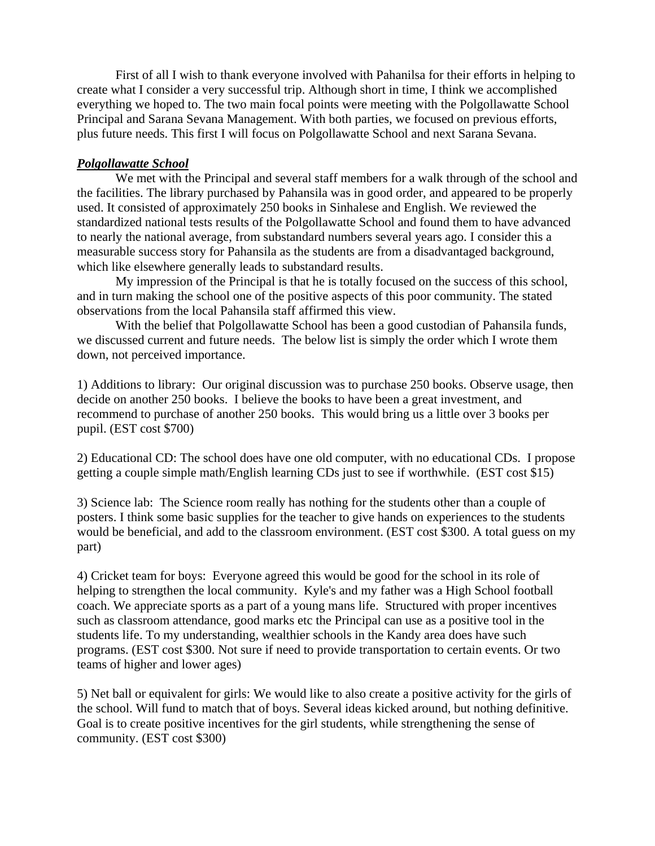First of all I wish to thank everyone involved with Pahanilsa for their efforts in helping to create what I consider a very successful trip. Although short in time, I think we accomplished everything we hoped to. The two main focal points were meeting with the Polgollawatte School Principal and Sarana Sevana Management. With both parties, we focused on previous efforts, plus future needs. This first I will focus on Polgollawatte School and next Sarana Sevana.

## *Polgollawatte School*

We met with the Principal and several staff members for a walk through of the school and the facilities. The library purchased by Pahansila was in good order, and appeared to be properly used. It consisted of approximately 250 books in Sinhalese and English. We reviewed the standardized national tests results of the Polgollawatte School and found them to have advanced to nearly the national average, from substandard numbers several years ago. I consider this a measurable success story for Pahansila as the students are from a disadvantaged background, which like elsewhere generally leads to substandard results.

My impression of the Principal is that he is totally focused on the success of this school, and in turn making the school one of the positive aspects of this poor community. The stated observations from the local Pahansila staff affirmed this view.

With the belief that Polgollawatte School has been a good custodian of Pahansila funds, we discussed current and future needs. The below list is simply the order which I wrote them down, not perceived importance.

1) Additions to library: Our original discussion was to purchase 250 books. Observe usage, then decide on another 250 books. I believe the books to have been a great investment, and recommend to purchase of another 250 books. This would bring us a little over 3 books per pupil. (EST cost \$700)

2) Educational CD: The school does have one old computer, with no educational CDs. I propose getting a couple simple math/English learning CDs just to see if worthwhile. (EST cost \$15)

3) Science lab: The Science room really has nothing for the students other than a couple of posters. I think some basic supplies for the teacher to give hands on experiences to the students would be beneficial, and add to the classroom environment. (EST cost \$300. A total guess on my part)

4) Cricket team for boys: Everyone agreed this would be good for the school in its role of helping to strengthen the local community. Kyle's and my father was a High School football coach. We appreciate sports as a part of a young mans life. Structured with proper incentives such as classroom attendance, good marks etc the Principal can use as a positive tool in the students life. To my understanding, wealthier schools in the Kandy area does have such programs. (EST cost \$300. Not sure if need to provide transportation to certain events. Or two teams of higher and lower ages)

5) Net ball or equivalent for girls: We would like to also create a positive activity for the girls of the school. Will fund to match that of boys. Several ideas kicked around, but nothing definitive. Goal is to create positive incentives for the girl students, while strengthening the sense of community. (EST cost \$300)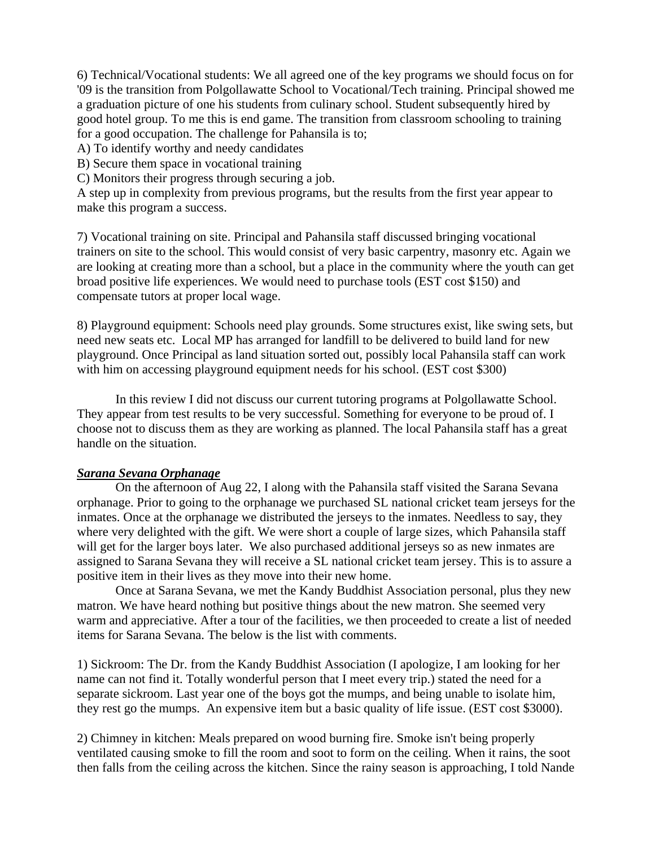6) Technical/Vocational students: We all agreed one of the key programs we should focus on for '09 is the transition from Polgollawatte School to Vocational/Tech training. Principal showed me a graduation picture of one his students from culinary school. Student subsequently hired by good hotel group. To me this is end game. The transition from classroom schooling to training for a good occupation. The challenge for Pahansila is to;

A) To identify worthy and needy candidates

B) Secure them space in vocational training

C) Monitors their progress through securing a job.

A step up in complexity from previous programs, but the results from the first year appear to make this program a success.

7) Vocational training on site. Principal and Pahansila staff discussed bringing vocational trainers on site to the school. This would consist of very basic carpentry, masonry etc. Again we are looking at creating more than a school, but a place in the community where the youth can get broad positive life experiences. We would need to purchase tools (EST cost \$150) and compensate tutors at proper local wage.

8) Playground equipment: Schools need play grounds. Some structures exist, like swing sets, but need new seats etc. Local MP has arranged for landfill to be delivered to build land for new playground. Once Principal as land situation sorted out, possibly local Pahansila staff can work with him on accessing playground equipment needs for his school. (EST cost \$300)

In this review I did not discuss our current tutoring programs at Polgollawatte School. They appear from test results to be very successful. Something for everyone to be proud of. I choose not to discuss them as they are working as planned. The local Pahansila staff has a great handle on the situation.

## *Sarana Sevana Orphanage*

On the afternoon of Aug 22, I along with the Pahansila staff visited the Sarana Sevana orphanage. Prior to going to the orphanage we purchased SL national cricket team jerseys for the inmates. Once at the orphanage we distributed the jerseys to the inmates. Needless to say, they where very delighted with the gift. We were short a couple of large sizes, which Pahansila staff will get for the larger boys later. We also purchased additional jerseys so as new inmates are assigned to Sarana Sevana they will receive a SL national cricket team jersey. This is to assure a positive item in their lives as they move into their new home.

Once at Sarana Sevana, we met the Kandy Buddhist Association personal, plus they new matron. We have heard nothing but positive things about the new matron. She seemed very warm and appreciative. After a tour of the facilities, we then proceeded to create a list of needed items for Sarana Sevana. The below is the list with comments.

1) Sickroom: The Dr. from the Kandy Buddhist Association (I apologize, I am looking for her name can not find it. Totally wonderful person that I meet every trip.) stated the need for a separate sickroom. Last year one of the boys got the mumps, and being unable to isolate him, they rest go the mumps. An expensive item but a basic quality of life issue. (EST cost \$3000).

2) Chimney in kitchen: Meals prepared on wood burning fire. Smoke isn't being properly ventilated causing smoke to fill the room and soot to form on the ceiling. When it rains, the soot then falls from the ceiling across the kitchen. Since the rainy season is approaching, I told Nande